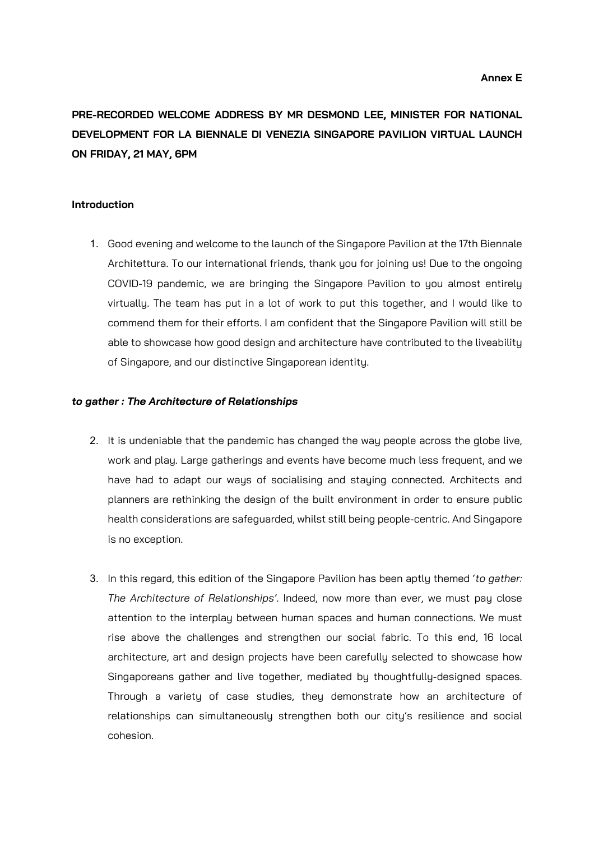**PRE-RECORDED WELCOME ADDRESS BY MR DESMOND LEE, MINISTER FOR NATIONAL DEVELOPMENT FOR LA BIENNALE DI VENEZIA SINGAPORE PAVILION VIRTUAL LAUNCH ON FRIDAY, 21 MAY, 6PM**

## **Introduction**

1. Good evening and welcome to the launch of the Singapore Pavilion at the 17th Biennale Architettura. To our international friends, thank you for joining us! Due to the ongoing COVID-19 pandemic, we are bringing the Singapore Pavilion to you almost entirely virtually. The team has put in a lot of work to put this together, and I would like to commend them for their efforts. I am confident that the Singapore Pavilion will still be able to showcase how good design and architecture have contributed to the liveability of Singapore, and our distinctive Singaporean identity.

## *to gather : The Architecture of Relationships*

- 2. It is undeniable that the pandemic has changed the way people across the globe live, work and play. Large gatherings and events have become much less frequent, and we have had to adapt our ways of socialising and staying connected. Architects and planners are rethinking the design of the built environment in order to ensure public health considerations are safeguarded, whilst still being people-centric. And Singapore is no exception.
- 3. In this regard, this edition of the Singapore Pavilion has been aptly themed '*to gather: The Architecture of Relationships'*. Indeed, now more than ever, we must pay close attention to the interplay between human spaces and human connections. We must rise above the challenges and strengthen our social fabric. To this end, 16 local architecture, art and design projects have been carefully selected to showcase how Singaporeans gather and live together, mediated by thoughtfully-designed spaces. Through a variety of case studies, they demonstrate how an architecture of relationships can simultaneously strengthen both our city's resilience and social cohesion.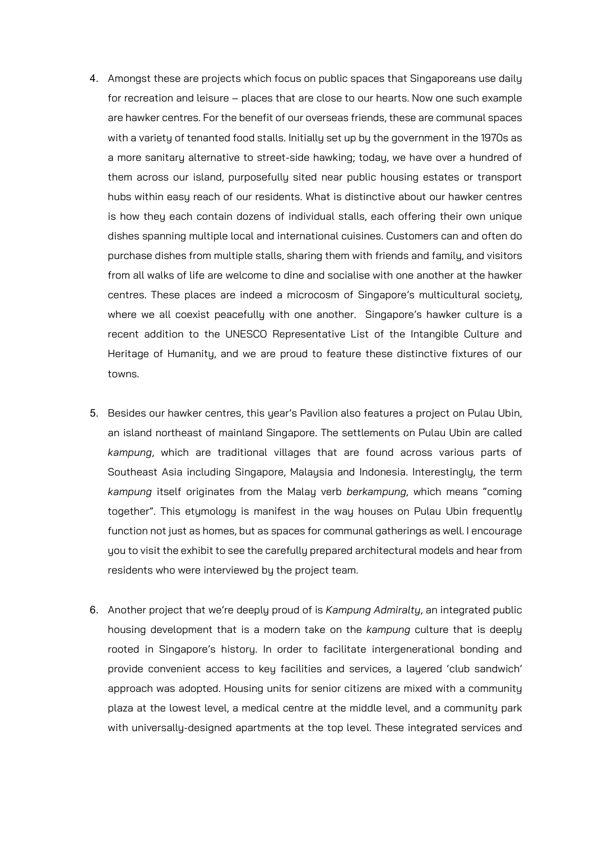- 4. Amongst these are projects which focus on public spaces that Singaporeans use daily for recreation and leisure – places that are close to our hearts. Now one such example are hawker centres. For the benefit of our overseas friends, these are communal spaces with a variety of tenanted food stalls. Initially set up by the government in the 1970s as a more sanitary alternative to street-side hawking; today, we have over a hundred of them across our island, purposefully sited near public housing estates or transport hubs within easy reach of our residents. What is distinctive about our hawker centres is how they each contain dozens of individual stalls, each offering their own unique dishes spanning multiple local and international cuisines. Customers can and often do purchase dishes from multiple stalls, sharing them with friends and family, and visitors from all walks of life are welcome to dine and socialise with one another at the hawker centres. These places are indeed a microcosm of Singapore's multicultural society, where we all coexist peacefully with one another. Singapore's hawker culture is a recent addition to the UNESCO Representative List of the Intangible Culture and Heritage of Humanity, and we are proud to feature these distinctive fixtures of our towns.
- 5. Besides our hawker centres, this year's Pavilion also features a project on Pulau Ubin, an island northeast of mainland Singapore. The settlements on Pulau Ubin are called *kampung*, which are traditional villages that are found across various parts of Southeast Asia including Singapore, Malaysia and Indonesia. Interestingly, the term *kampung* itself originates from the Malay verb *berkampung*, which means "coming together". This etymology is manifest in the way houses on Pulau Ubin frequently function not just as homes, but as spaces for communal gatherings as well. I encourage you to visit the exhibit to see the carefully prepared architectural models and hear from residents who were interviewed by the project team.
- 6. Another project that we're deeply proud of is *Kampung Admiralty*, an integrated public housing development that is a modern take on the *kampung* culture that is deeply rooted in Singapore's history. In order to facilitate intergenerational bonding and provide convenient access to key facilities and services, a layered 'club sandwich' approach was adopted. Housing units for senior citizens are mixed with a community plaza at the lowest level, a medical centre at the middle level, and a community park with universally-designed apartments at the top level. These integrated services and